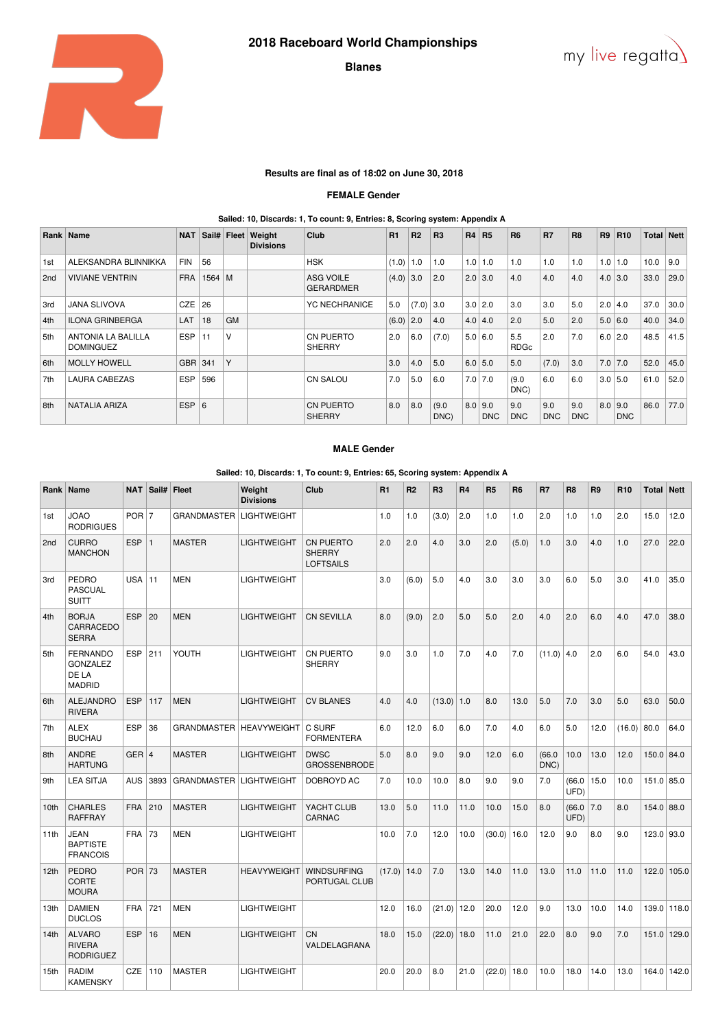

# **Blanes**



## **Results are final as of 18:02 on June 30, 2018**

### **FEMALE Gender**

#### **Sailed: 10, Discards: 1, To count: 9, Entries: 8, Scoring system: Appendix A**

|     | Rank   Name                                   | <b>NAT</b> | Sail#    |           | <b>Fleet Weight</b><br><b>Divisions</b> | Club                                 | R1    | R <sub>2</sub> | <b>R3</b>     | <b>R4</b> | R5                      | <b>R6</b>          | <b>R7</b>         | R <sub>8</sub>    | R <sub>9</sub> | <b>R10</b>        | <b>Total Nett</b> |      |
|-----|-----------------------------------------------|------------|----------|-----------|-----------------------------------------|--------------------------------------|-------|----------------|---------------|-----------|-------------------------|--------------------|-------------------|-------------------|----------------|-------------------|-------------------|------|
| 1st | ALEKSANDRA BLINNIKKA                          | <b>FIN</b> | 56       |           |                                         | <b>HSK</b>                           | (1.0) | 1.0            | 1.0           |           | $1.0$   1.0             | 1.0                | 1.0               | 1.0               | 1.0            | 1.0               | 10.0              | 9.0  |
| 2nd | <b>VIVIANE VENTRIN</b>                        | <b>FRA</b> | $1564$ M |           |                                         | <b>ASG VOILE</b><br><b>GERARDMER</b> | (4.0) | 3.0            | 2.0           | 2.0       | 3.0                     | 4.0                | 4.0               | 4.0               |                | $4.0$ 3.0         | 33.0              | 29.0 |
| 3rd | <b>JANA SLIVOVA</b>                           | CZE        | 26       |           |                                         | <b>YC NECHRANICE</b>                 | 5.0   | $(7.0)$ 3.0    |               |           | $3.0$   2.0             | 3.0                | 3.0               | 5.0               | 2.0            | 4.0               | 37.0              | 30.0 |
| 4th | <b>ILONA GRINBERGA</b>                        | LAT        | 18       | <b>GM</b> |                                         |                                      | (6.0) | 2.0            | 4.0           |           | $4.0 \mid 4.0$          | 2.0                | 5.0               | 2.0               |                | $5.0 \mid 6.0$    | 40.0              | 34.0 |
| 5th | <b>ANTONIA LA BALILLA</b><br><b>DOMINGUEZ</b> | <b>ESP</b> | 11       | V         |                                         | <b>CN PUERTO</b><br><b>SHERRY</b>    | 2.0   | 6.0            | (7.0)         |           | 5.0   6.0               | 5.5<br><b>RDGc</b> | 2.0               | 7.0               |                | $6.0$   2.0       | 48.5              | 41.5 |
| 6th | <b>MOLLY HOWELL</b>                           | GBR 341    |          | Y         |                                         |                                      | 3.0   | 4.0            | 5.0           |           | $6.0$ 5.0               | 5.0                | (7.0)             | 3.0               | $7.0$ 7.0      |                   | 52.0              | 45.0 |
| 7th | <b>LAURA CABEZAS</b>                          | <b>ESP</b> | 596      |           |                                         | <b>CN SALOU</b>                      | 7.0   | 5.0            | 6.0           |           | $7.0$ 7.0               | (9.0)<br>DNC)      | 6.0               | 6.0               | $3.0$ 5.0      |                   | 61.0              | 52.0 |
| 8th | <b>NATALIA ARIZA</b>                          | <b>ESP</b> | 6        |           |                                         | <b>CN PUERTO</b><br><b>SHERRY</b>    | 8.0   | 8.0            | (9.0)<br>DNC) |           | 8.0   9.0<br><b>DNC</b> | 9.0<br><b>DNC</b>  | 9.0<br><b>DNC</b> | 9.0<br><b>DNC</b> | 8.0            | 9.0<br><b>DNC</b> | 86.0              | 77.0 |

### **MALE Gender**

**Sailed: 10, Discards: 1, To count: 9, Entries: 65, Scoring system: Appendix A**

| Rank             | <b>Name</b>                                                  | <b>NAT</b>       | Sail# | <b>Fleet</b>              | Weight<br><b>Divisions</b> | Club                                           | R1            | R <sub>2</sub> | R <sub>3</sub> | R4   | R <sub>5</sub> | R <sub>6</sub> | R7             | R <sub>8</sub> | R <sub>9</sub> | R <sub>10</sub> | <b>Total   Nett</b> |             |
|------------------|--------------------------------------------------------------|------------------|-------|---------------------------|----------------------------|------------------------------------------------|---------------|----------------|----------------|------|----------------|----------------|----------------|----------------|----------------|-----------------|---------------------|-------------|
| 1st              | <b>OACL</b><br><b>RODRIGUES</b>                              | $POR$ 7          |       | GRANDMASTER   LIGHTWEIGHT |                            |                                                | 1.0           | 1.0            | (3.0)          | 2.0  | 1.0            | 1.0            | 2.0            | 1.0            | 1.0            | 2.0             | 15.0                | 12.0        |
| 2 <sub>nd</sub>  | <b>CURRO</b><br><b>MANCHON</b>                               | <b>ESP</b>       | ∣ 1   | <b>MASTER</b>             | <b>LIGHTWEIGHT</b>         | CN PUERTO<br><b>SHERRY</b><br><b>LOFTSAILS</b> | 2.0           | 2.0            | 4.0            | 3.0  | 2.0            | (5.0)          | 1.0            | 3.0            | 4.0            | 1.0             | 27.0                | 22.0        |
| 3rd              | <b>PEDRO</b><br><b>PASCUAL</b><br><b>SUITT</b>               | USA <sup>1</sup> | 11    | <b>MEN</b>                | <b>LIGHTWEIGHT</b>         |                                                | 3.0           | (6.0)          | 5.0            | 4.0  | 3.0            | 3.0            | 3.0            | 6.0            | 5.0            | 3.0             | 41.0                | 35.0        |
| 4th              | <b>BORJA</b><br>CARRACEDO<br><b>SERRA</b>                    | <b>ESP</b>       | 20    | <b>MEN</b>                | <b>LIGHTWEIGHT</b>         | <b>CN SEVILLA</b>                              | 8.0           | (9.0)          | 2.0            | 5.0  | 5.0            | 2.0            | 4.0            | 2.0            | 6.0            | 4.0             | 47.0                | 38.0        |
| 5th              | <b>FERNANDO</b><br><b>GONZALEZ</b><br>DE LA<br><b>MADRID</b> | <b>ESP</b>       | 211   | YOUTH                     | <b>LIGHTWEIGHT</b>         | <b>CN PUERTO</b><br><b>SHERRY</b>              | 9.0           | 3.0            | 1.0            | 7.0  | 4.0            | 7.0            | $(11.0)$ 4.0   |                | 2.0            | 6.0             | 54.0                | 43.0        |
| 6th              | <b>ALEJANDRO</b><br><b>RIVERA</b>                            | <b>ESP</b>       | 117   | <b>MEN</b>                | <b>LIGHTWEIGHT</b>         | <b>CV BLANES</b>                               | 4.0           | 4.0            | (13.0)         | 1.0  | 8.0            | 13.0           | 5.0            | 7.0            | 3.0            | 5.0             | 63.0                | 50.0        |
| 7th              | <b>ALEX</b><br><b>BUCHAU</b>                                 | <b>ESP</b>       | 36    | <b>GRANDMASTER</b>        | <b>HEAVYWEIGHT</b>         | C SURF<br><b>FORMENTERA</b>                    | 6.0           | 12.0           | 6.0            | 6.0  | 7.0            | 4.0            | 6.0            | 5.0            | 12.0           | (16.0)          | 80.0                | 64.0        |
| 8th              | <b>ANDRE</b><br><b>HARTUNG</b>                               | $GER$ 4          |       | <b>MASTER</b>             | <b>LIGHTWEIGHT</b>         | <b>DWSC</b><br><b>GROSSENBRODE</b>             | 5.0           | 8.0            | 9.0            | 9.0  | 12.0           | 6.0            | (66.0)<br>DNC) | 10.0           | 13.0           | 12.0            | $150.0$ 84.0        |             |
| 9th              | <b>LEA SITJA</b>                                             | <b>AUS</b>       | 3893  | <b>GRANDMASTER</b>        | <b>LIGHTWEIGHT</b>         | DOBROYD AC                                     | 7.0           | 10.0           | 10.0           | 8.0  | 9.0            | 9.0            | 7.0            | (66.0)<br>UFD) | 15.0           | 10.0            | $151.0$ 85.0        |             |
| 10th             | <b>CHARLES</b><br><b>RAFFRAY</b>                             | <b>FRA</b>       | 210   | <b>MASTER</b>             | <b>LIGHTWEIGHT</b>         | YACHT CLUB<br>CARNAC                           | 13.0          | 5.0            | 11.0           | 11.0 | 10.0           | 15.0           | 8.0            | (66.0)<br>UFD) | 7.0            | 8.0             | 154.0 88.0          |             |
| 11th             | JEAN<br><b>BAPTISTE</b><br><b>FRANCOIS</b>                   | <b>FRA</b>       | 73    | <b>MEN</b>                | <b>LIGHTWEIGHT</b>         |                                                | 10.0          | 7.0            | 12.0           | 10.0 | (30.0)         | 16.0           | 12.0           | 9.0            | 8.0            | 9.0             | 123.0 93.0          |             |
| 12 <sub>th</sub> | <b>PEDRO</b><br><b>CORTE</b><br><b>MOURA</b>                 | $POR$ 73         |       | <b>MASTER</b>             | <b>HEAVYWEIGHT</b>         | <b>WINDSURFING</b><br>PORTUGAL CLUB            | $(17.0)$ 14.0 |                | 7.0            | 13.0 | 14.0           | 11.0           | 13.0           | 11.0           | 11.0           | 11.0            |                     | 122.0 105.0 |
| 13th             | <b>DAMIEN</b><br><b>DUCLOS</b>                               | <b>FRA</b>       | 721   | <b>MEN</b>                | <b>LIGHTWEIGHT</b>         |                                                | 12.0          | 16.0           | (21.0)         | 12.0 | 20.0           | 12.0           | 9.0            | 13.0           | 10.0           | 14.0            |                     | 139.0 118.0 |
| 14th             | <b>ALVARO</b><br><b>RIVERA</b><br><b>RODRIGUEZ</b>           | <b>ESP</b>       | 16    | <b>MEN</b>                | <b>LIGHTWEIGHT</b>         | <b>CN</b><br>VALDELAGRANA                      | 18.0          | 15.0           | (22.0)         | 18.0 | 11.0           | 21.0           | 22.0           | 8.0            | 9.0            | 7.0             |                     | 151.0 129.0 |
| 15th             | RADIM<br><b>KAMENSKY</b>                                     | CZE              | 110   | <b>MASTER</b>             | <b>LIGHTWEIGHT</b>         |                                                | 20.0          | 20.0           | 8.0            | 21.0 | (22.0)         | 18.0           | 10.0           | 18.0           | 14.0           | 13.0            |                     | 164.0 142.0 |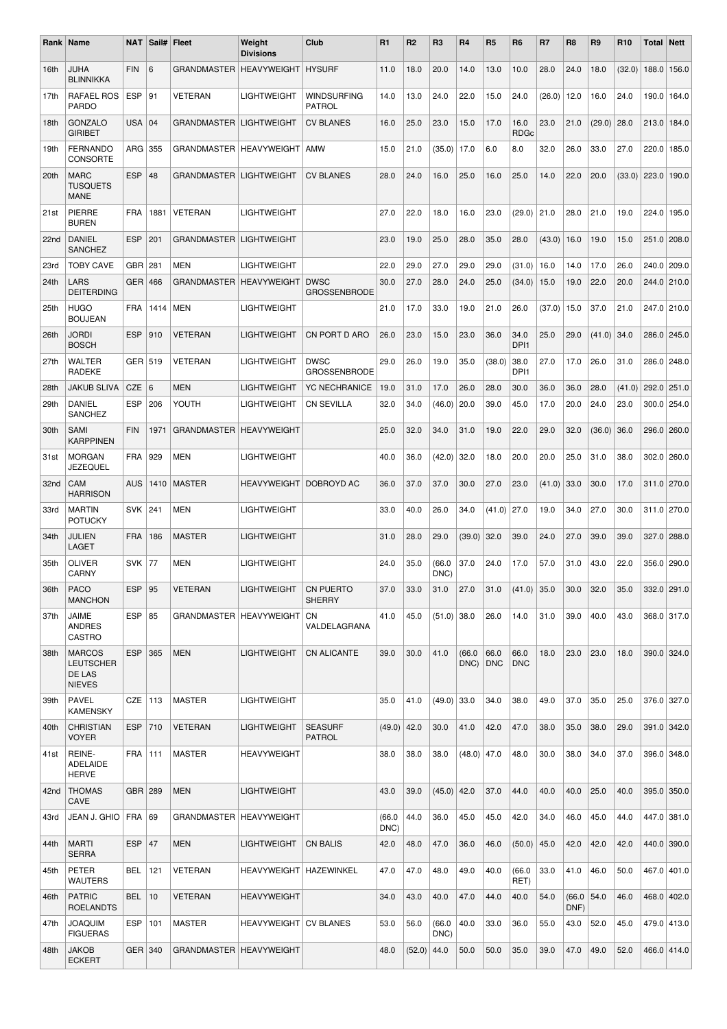|                  | Rank   Name                                                  | <b>NAT</b> |      | Sail# Fleet                      | Weight<br><b>Divisions</b>      | Club                                | R <sub>1</sub> | R <sub>2</sub> | R <sub>3</sub> | R4                       | R <sub>5</sub> | R <sub>6</sub>           | R7     | R <sub>8</sub> | R <sub>9</sub> | R <sub>10</sub> | <b>Total Nett</b> |             |
|------------------|--------------------------------------------------------------|------------|------|----------------------------------|---------------------------------|-------------------------------------|----------------|----------------|----------------|--------------------------|----------------|--------------------------|--------|----------------|----------------|-----------------|-------------------|-------------|
| 16th             | JUHA<br><b>BLINNIKKA</b>                                     | <b>FIN</b> | 6    | GRANDMASTER   HEAVYWEIGHT        |                                 | <b>HYSURF</b>                       | 11.0           | 18.0           | 20.0           | 14.0                     | 13.0           | 10.0                     | 28.0   | 24.0           | 18.0           | (32.0)          | 188.0             | 156.0       |
| 17th             | <b>RAFAEL ROS</b><br>PARDO                                   | <b>ESP</b> | 91   | VETERAN                          | <b>LIGHTWEIGHT</b>              | <b>WINDSURFING</b><br><b>PATROL</b> | 14.0           | 13.0           | 24.0           | 22.0                     | 15.0           | 24.0                     | (26.0) | 12.0           | 16.0           | 24.0            | 190.0             | 164.0       |
| 18th             | <b>GONZALO</b><br><b>GIRIBET</b>                             | <b>USA</b> | 04   | GRANDMASTER   LIGHTWEIGHT        |                                 | <b>CV BLANES</b>                    | 16.0           | 25.0           | 23.0           | 15.0                     | 17.0           | 16.0<br><b>RDGc</b>      | 23.0   | 21.0           | (29.0)         | 28.0            | 213.0             | 184.0       |
| 19th             | <b>FERNANDO</b><br><b>CONSORTE</b>                           | ARG        | 355  | GRANDMASTER   HEAVYWEIGHT        |                                 | AMW                                 | 15.0           | 21.0           | (35.0)         | 17.0                     | 6.0            | 8.0                      | 32.0   | 26.0           | 33.0           | 27.0            | 220.0             | 185.0       |
| 20th             | <b>MARC</b><br><b>TUSQUETS</b><br><b>MANE</b>                | <b>ESP</b> | 48   | <b>GRANDMASTER   LIGHTWEIGHT</b> |                                 | <b>CV BLANES</b>                    | 28.0           | 24.0           | 16.0           | 25.0                     | 16.0           | 25.0                     | 14.0   | 22.0           | 20.0           | (33.0)          | 223.0             | 190.0       |
| 21st             | PIERRE<br><b>BUREN</b>                                       | <b>FRA</b> | 1881 | <b>VETERAN</b>                   | <b>LIGHTWEIGHT</b>              |                                     | 27.0           | 22.0           | 18.0           | 16.0                     | 23.0           | (29.0)                   | 21.0   | 28.0           | 21.0           | 19.0            | 224.0             | 195.0       |
| 22 <sub>nd</sub> | <b>DANIEL</b><br><b>SANCHEZ</b>                              | <b>ESP</b> | 201  | GRANDMASTER   LIGHTWEIGHT        |                                 |                                     | 23.0           | 19.0           | 25.0           | 28.0                     | 35.0           | 28.0                     | (43.0) | 16.0           | 19.0           | 15.0            | 251.0 208.0       |             |
| 23rd             | <b>TOBY CAVE</b>                                             | <b>GBR</b> | 281  | <b>MEN</b>                       | LIGHTWEIGHT                     |                                     | 22.0           | 29.0           | 27.0           | 29.0                     | 29.0           | (31.0)                   | 16.0   | 14.0           | 17.0           | 26.0            | 240.0             | 209.0       |
| 24th             | LARS<br><b>DEITERDING</b>                                    | <b>GER</b> | 466  | GRANDMASTER   HEAVYWEIGHT        |                                 | <b>DWSC</b><br><b>GROSSENBRODE</b>  | 30.0           | 27.0           | 28.0           | 24.0                     | 25.0           | (34.0)                   | 15.0   | 19.0           | 22.0           | 20.0            | 244.0 210.0       |             |
| 25th             | <b>HUGO</b><br><b>BOUJEAN</b>                                | <b>FRA</b> | 1414 | <b>MEN</b>                       | <b>LIGHTWEIGHT</b>              |                                     | 21.0           | 17.0           | 33.0           | 19.0                     | 21.0           | 26.0                     | (37.0) | 15.0           | 37.0           | 21.0            | 247.0 210.0       |             |
| 26th             | <b>JORDI</b><br><b>BOSCH</b>                                 | <b>ESP</b> | 910  | <b>VETERAN</b>                   | <b>LIGHTWEIGHT</b>              | CN PORT D ARO                       | 26.0           | 23.0           | 15.0           | 23.0                     | 36.0           | 34.0<br>DPI1             | 25.0   | 29.0           | (41.0)         | 34.0            | 286.0 245.0       |             |
| 27th             | WALTER<br>RADEKE                                             | GER   519  |      | VETERAN                          | <b>LIGHTWEIGHT</b>              | <b>DWSC</b><br><b>GROSSENBRODE</b>  | 29.0           | 26.0           | 19.0           | 35.0                     | (38.0)         | 38.0<br>DP <sub>11</sub> | 27.0   | 17.0           | 26.0           | 31.0            | 286.0             | 248.0       |
| 28th             | <b>JAKUB SLIVA</b>                                           | <b>CZE</b> | 6    | <b>MEN</b>                       | <b>LIGHTWEIGHT</b>              | <b>YC NECHRANICE</b>                | 19.0           | 31.0           | 17.0           | 26.0                     | 28.0           | 30.0                     | 36.0   | 36.0           | 28.0           | (41.0)          | 292.0 251.0       |             |
| 29th             | <b>DANIEL</b><br><b>SANCHEZ</b>                              | <b>ESP</b> | 206  | YOUTH                            | <b>LIGHTWEIGHT</b>              | <b>CN SEVILLA</b>                   | 32.0           | 34.0           | (46.0)         | 20.0                     | 39.0           | 45.0                     | 17.0   | 20.0           | 24.0           | 23.0            | $300.0$ 254.0     |             |
| 30th             | SAMI<br><b>KARPPINEN</b>                                     | <b>FIN</b> | 1971 | GRANDMASTER   HEAVYWEIGHT        |                                 |                                     | 25.0           | 32.0           | 34.0           | 31.0                     | 19.0           | 22.0                     | 29.0   | 32.0           | (36.0)         | 36.0            | 296.0             | 260.0       |
| 31st             | <b>MORGAN</b><br>JEZEQUEL                                    | <b>FRA</b> | 929  | MEN                              | <b>LIGHTWEIGHT</b>              |                                     | 40.0           | 36.0           | (42.0)         | 32.0                     | 18.0           | 20.0                     | 20.0   | 25.0           | 31.0           | 38.0            | 302.0 260.0       |             |
| 32nd             | CAM<br><b>HARRISON</b>                                       | <b>AUS</b> | 1410 | <b>MASTER</b>                    | <b>HEAVYWEIGHT   DOBROYD AC</b> |                                     | 36.0           | 37.0           | 37.0           | 30.0                     | 27.0           | 23.0                     | (41.0) | 33.0           | 30.0           | 17.0            | $311.0$ 270.0     |             |
| 33rd             | <b>MARTIN</b><br><b>POTUCKY</b>                              | <b>SVK</b> | 241  | <b>MEN</b>                       | <b>LIGHTWEIGHT</b>              |                                     | 33.0           | 40.0           | 26.0           | 34.0                     | (41.0)         | 27.0                     | 19.0   | 34.0           | 27.0           | 30.0            | 311.0 270.0       |             |
| 34th             | JULIEN<br>LAGET                                              | <b>FRA</b> | 186  | <b>MASTER</b>                    | <b>LIGHTWEIGHT</b>              |                                     | 31.0           | 28.0           | 29.0           | (39.0)                   | 32.0           | 39.0                     | 24.0   | 27.0           | 39.0           | 39.0            | 327.0             | 288.0       |
| 35th             | <b>OLIVER</b><br>CARNY                                       | SVK        | 77   | MEN                              | <b>LIGHTWEIGHT</b>              |                                     | 24.0           | 35.0           | (66.0)<br>DNC) | 37.0                     | 24.0           | 17.0                     | 57.0   | 31.0           | 43.0           | 22.0            | 356.0 290.0       |             |
| 36th             | <b>PACO</b><br><b>MANCHON</b>                                | <b>ESP</b> | 95   | VETERAN                          | LIGHTWEIGHT                     | <b>CN PUERTO</b><br><b>SHERRY</b>   | 37.0           | 33.0           | 31.0           | 27.0                     | 31.0           | $(41.0)$ 35.0            |        | 30.0           | 32.0           | 35.0            | $332.0$ 291.0     |             |
| 37th             | JAIME<br><b>ANDRES</b><br>CASTRO                             | <b>ESP</b> | 85   | GRANDMASTER   HEAVYWEIGHT        |                                 | CN<br>VALDELAGRANA                  | 41.0           | 45.0           | $(51.0)$ 38.0  |                          | 26.0           | 14.0                     | 31.0   | 39.0           | 40.0           | 43.0            | 368.0 317.0       |             |
| 38th             | <b>MARCOS</b><br><b>LEUTSCHER</b><br>DE LAS<br><b>NIEVES</b> | <b>ESP</b> | 365  | <b>MEN</b>                       | <b>LIGHTWEIGHT</b>              | <b>CN ALICANTE</b>                  | 39.0           | 30.0           | 41.0           | (66.0)<br>$DNC$ ) $ DNC$ | 66.0           | 66.0<br><b>DNC</b>       | 18.0   | 23.0           | 23.0           | 18.0            | 390.0 324.0       |             |
| 39th             | <b>PAVEL</b><br><b>KAMENSKY</b>                              | CZE        | 113  | <b>MASTER</b>                    | <b>LIGHTWEIGHT</b>              |                                     | 35.0           | 41.0           | $(49.0)$ 33.0  |                          | 34.0           | 38.0                     | 49.0   | 37.0           | 35.0           | 25.0            | 376.0 327.0       |             |
| 40th             | <b>CHRISTIAN</b><br><b>VOYER</b>                             | <b>ESP</b> | 710  | VETERAN                          | LIGHTWEIGHT                     | <b>SEASURF</b><br>PATROL            | (49.0)         | 42.0           | 30.0           | 41.0                     | 42.0           | 47.0                     | 38.0   | 35.0           | 38.0           | 29.0            | 391.0 342.0       |             |
| 41st             | REINE-<br><b>ADELAIDE</b><br><b>HERVE</b>                    | FRA   111  |      | <b>MASTER</b>                    | <b>HEAVYWEIGHT</b>              |                                     | 38.0           | 38.0           | 38.0           | $(48.0)$ 47.0            |                | 48.0                     | 30.0   | 38.0           | 34.0           | 37.0            | 396.0 348.0       |             |
| 42nd             | <b>THOMAS</b><br>CAVE                                        | GBR 289    |      | <b>MEN</b>                       | LIGHTWEIGHT                     |                                     | 43.0           | 39.0           | (45.0)         | 42.0                     | 37.0           | 44.0                     | 40.0   | 40.0           | 25.0           | 40.0            | $395.0$ 350.0     |             |
| 43rd             | JEAN J. GHIO                                                 | <b>FRA</b> | 69   | GRANDMASTER   HEAVYWEIGHT        |                                 |                                     | (66.0)<br>DNC) | 44.0           | 36.0           | 45.0                     | 45.0           | 42.0                     | 34.0   | 46.0           | 45.0           | 44.0            | 447.0 381.0       |             |
| 44th             | <b>MARTI</b><br><b>SERRA</b>                                 | <b>ESP</b> | 47   | <b>MEN</b>                       | LIGHTWEIGHT                     | <b>CN BALIS</b>                     | 42.0           | 48.0           | 47.0           | 36.0                     | 46.0           | (50.0)                   | 45.0   | 42.0           | 42.0           | 42.0            |                   | 440.0 390.0 |
| 45th             | <b>PETER</b><br>WAUTERS                                      | BEL        | 121  | VETERAN                          | HEAVYWEIGHT   HAZEWINKEL        |                                     | 47.0           | 47.0           | 48.0           | 49.0                     | 40.0           | (66.0)<br>RET)           | 33.0   | 41.0           | 46.0           | 50.0            | 467.0 401.0       |             |
| 46th             | <b>PATRIC</b><br><b>ROELANDTS</b>                            | <b>BEL</b> | 10   | <b>VETERAN</b>                   | <b>HEAVYWEIGHT</b>              |                                     | 34.0           | 43.0           | 40.0           | 47.0                     | 44.0           | 40.0                     | 54.0   | (66.0)<br>DNF) | 54.0           | 46.0            | 468.0 402.0       |             |
| 47th             | <b>JOAQUIM</b><br><b>FIGUERAS</b>                            | <b>ESP</b> | 101  | <b>MASTER</b>                    | <b>HEAVYWEIGHT   CV BLANES</b>  |                                     | 53.0           | 56.0           | (66.0)<br>DNC) | 40.0                     | 33.0           | 36.0                     | 55.0   | 43.0           | 52.0           | 45.0            | 479.0 413.0       |             |
| 48th             | <b>JAKOB</b><br><b>ECKERT</b>                                | GER 340    |      | GRANDMASTER   HEAVYWEIGHT        |                                 |                                     | 48.0           | (52.0)         | 44.0           | 50.0                     | 50.0           | 35.0                     | 39.0   | 47.0           | 49.0           | 52.0            |                   | 466.0 414.0 |